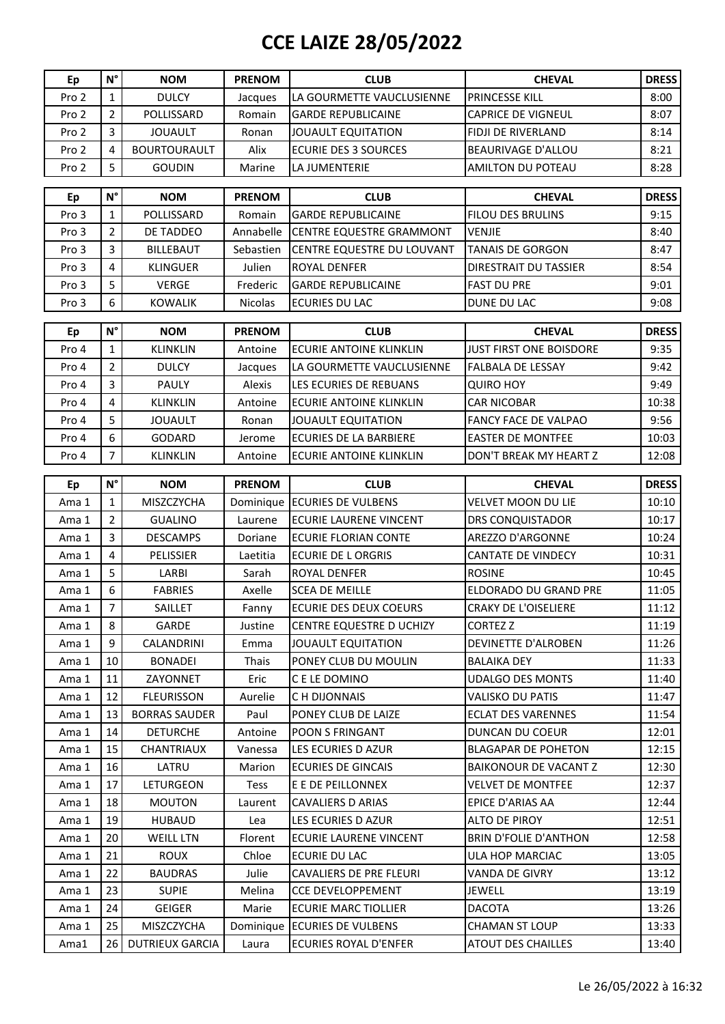## **CCE LAIZE 28/05/2022**

| Ep             | $N^{\circ}$             | <b>NOM</b>                           | <b>PRENOM</b>      | <b>CLUB</b>                                        | <b>CHEVAL</b>                                      | <b>DRESS</b>                                       |
|----------------|-------------------------|--------------------------------------|--------------------|----------------------------------------------------|----------------------------------------------------|----------------------------------------------------|
| Pro 2          | $\mathbf{1}$            | <b>DULCY</b>                         | Jacques            | LA GOURMETTE VAUCLUSIENNE                          | PRINCESSE KILL                                     | 8:00                                               |
| Pro 2          | $\overline{2}$          | POLLISSARD                           | Romain             | <b>GARDE REPUBLICAINE</b>                          | <b>CAPRICE DE VIGNEUL</b>                          | 8:07                                               |
| Pro 2          | 3                       | <b>JOUAULT</b>                       | Ronan              | <b>JOUAULT EQUITATION</b>                          | <b>FIDJI DE RIVERLAND</b>                          | 8:14                                               |
| Pro 2          | $\overline{4}$          | <b>BOURTOURAULT</b>                  | Alix               | <b>ECURIE DES 3 SOURCES</b>                        | <b>BEAURIVAGE D'ALLOU</b>                          | 8:21                                               |
| Pro 2          | 5                       | <b>GOUDIN</b>                        | Marine             | LA JUMENTERIE                                      | <b>AMILTON DU POTEAU</b>                           | 8:28                                               |
|                |                         |                                      |                    |                                                    |                                                    |                                                    |
| Ep             | $N^{\circ}$             | <b>NOM</b>                           | <b>PRENOM</b>      | <b>CLUB</b>                                        | <b>CHEVAL</b>                                      | <b>DRESS</b>                                       |
| Pro 3          | $\mathbf{1}$            | POLLISSARD                           | Romain             | <b>GARDE REPUBLICAINE</b>                          | <b>FILOU DES BRULINS</b>                           | 9:15                                               |
| Pro 3          | $\overline{2}$          | DE TADDEO                            | Annabelle          | <b>CENTRE EQUESTRE GRAMMONT</b>                    | <b>VENJIE</b>                                      | 8:40                                               |
| Pro 3          | 3                       | <b>BILLEBAUT</b>                     | Sebastien          | CENTRE EQUESTRE DU LOUVANT                         | <b>TANAIS DE GORGON</b>                            | 8:47                                               |
| Pro 3          | $\overline{4}$          | <b>KLINGUER</b>                      | Julien             | <b>ROYAL DENFER</b>                                | <b>DIRESTRAIT DU TASSIER</b>                       | 8:54                                               |
| Pro 3          | 5                       | <b>VERGE</b>                         | Frederic           | <b>GARDE REPUBLICAINE</b>                          | <b>FAST DU PRE</b>                                 | 9:01                                               |
| Pro 3          | 6                       | <b>KOWALIK</b>                       | <b>Nicolas</b>     | <b>ECURIES DU LAC</b>                              | DUNE DU LAC                                        | 9:08                                               |
|                |                         |                                      |                    |                                                    |                                                    |                                                    |
| Ep             | $N^{\circ}$             | <b>NOM</b>                           | <b>PRENOM</b>      | <b>CLUB</b>                                        | <b>CHEVAL</b>                                      | <b>DRESS</b>                                       |
| Pro 4          | $\mathbf{1}$            | <b>KLINKLIN</b>                      | Antoine            | <b>ECURIE ANTOINE KLINKLIN</b>                     | JUST FIRST ONE BOISDORE                            | 9:35                                               |
| Pro 4          | $\overline{2}$          | <b>DULCY</b>                         | Jacques            | LA GOURMETTE VAUCLUSIENNE                          | FALBALA DE LESSAY                                  | 9:42                                               |
| Pro 4          | $\overline{3}$          | PAULY                                | Alexis             | LES ECURIES DE REBUANS                             | <b>QUIRO HOY</b>                                   | 9:49                                               |
| Pro 4          | $\overline{\mathbf{4}}$ | <b>KLINKLIN</b>                      | Antoine            | <b>ECURIE ANTOINE KLINKLIN</b>                     | <b>CAR NICOBAR</b>                                 | 10:38                                              |
| Pro 4          | 5                       | <b>JOUAULT</b>                       | Ronan              | <b>JOUAULT EQUITATION</b>                          | <b>FANCY FACE DE VALPAO</b>                        | 9:56                                               |
| Pro 4          | 6                       | GODARD                               | Jerome             | <b>ECURIES DE LA BARBIERE</b>                      | <b>EASTER DE MONTFEE</b>                           | 10:03                                              |
| Pro 4          | $\overline{7}$          | <b>KLINKLIN</b>                      | Antoine            | <b>ECURIE ANTOINE KLINKLIN</b>                     | DON'T BREAK MY HEART Z                             | 12:08                                              |
| Ep             | $N^{\circ}$             | <b>NOM</b>                           | <b>PRENOM</b>      | <b>CLUB</b>                                        | <b>CHEVAL</b>                                      | <b>DRESS</b>                                       |
| Ama 1          | $\mathbf{1}$            | MISZCZYCHA                           | Dominique          | <b>ECURIES DE VULBENS</b>                          | <b>VELVET MOON DU LIE</b>                          | 10:10                                              |
| Ama 1          | $\overline{2}$          | <b>GUALINO</b>                       | Laurene            | <b>ECURIE LAURENE VINCENT</b>                      | <b>DRS CONQUISTADOR</b>                            | 10:17                                              |
| Ama 1          | 3                       | <b>DESCAMPS</b>                      | Doriane            | <b>ECURIE FLORIAN CONTE</b>                        | AREZZO D'ARGONNE                                   | 10:24                                              |
| Ama 1          | $\overline{\mathbf{4}}$ | PELISSIER                            | Laetitia           | <b>ECURIE DE L ORGRIS</b>                          | <b>CANTATE DE VINDECY</b>                          | 10:31                                              |
| Ama 1          | 5                       | LARBI                                | Sarah              | ROYAL DENFER                                       | <b>ROSINE</b>                                      | 10:45                                              |
| Ama 1          | 6                       | <b>FABRIES</b>                       | Axelle             | <b>SCEA DE MEILLE</b>                              | <b>ELDORADO DU GRAND PRE</b>                       | 11:05                                              |
| Ama 1          | $\overline{7}$          | SAILLET                              | Fanny              | <b>ECURIE DES DEUX COEURS</b>                      | <b>CRAKY DE L'OISELIERE</b>                        | 11:12                                              |
| Ama 1          | 8                       | GARDE                                | Justine            | CENTRE EQUESTRE D UCHIZY                           | <b>CORTEZ Z</b>                                    | 11:19                                              |
| Ama 1          | 9                       | CALANDRINI                           | Emma               | <b>JOUAULT EQUITATION</b>                          | DEVINETTE D'ALROBEN                                | 11:26                                              |
| Ama 1          | 10                      | <b>BONADEI</b>                       | Thais              | PONEY CLUB DU MOULIN                               | <b>BALAIKA DEY</b>                                 | 11:33                                              |
| Ama 1          | 11                      | ZAYONNET                             | Eric               | C E LE DOMINO                                      | <b>UDALGO DES MONTS</b>                            | 11:40                                              |
| Ama 1          | 12                      | <b>FLEURISSON</b>                    | Aurelie            | C H DIJONNAIS                                      | <b>VALISKO DU PATIS</b>                            | 11:47                                              |
| Ama 1          | 13                      | <b>BORRAS SAUDER</b>                 | Paul               | PONEY CLUB DE LAIZE                                | <b>ECLAT DES VARENNES</b>                          | 11:54                                              |
| Ama 1          | 14                      | <b>DETURCHE</b>                      | Antoine            | POON S FRINGANT                                    | DUNCAN DU COEUR                                    | 12:01                                              |
| Ama 1          | 15                      | <b>CHANTRIAUX</b>                    | Vanessa            | LES ECURIES D AZUR                                 | <b>BLAGAPAR DE POHETON</b>                         | 12:15                                              |
| Ama 1          | 16                      | LATRU                                | Marion             | <b>ECURIES DE GINCAIS</b>                          | <b>BAIKONOUR DE VACANT Z</b>                       | 12:30                                              |
|                | 17                      | LETURGEON                            |                    | E E DE PEILLONNEX                                  | <b>VELVET DE MONTFEE</b>                           | 12:37                                              |
| Ama 1          | 18                      |                                      | Tess               |                                                    | EPICE D'ARIAS AA                                   | 12:44                                              |
| Ama 1          | 19                      | <b>MOUTON</b>                        | Laurent            | CAVALIERS D ARIAS                                  |                                                    |                                                    |
| Ama 1<br>Ama 1 |                         | <b>HUBAUD</b>                        | Lea                | LES ECURIES D AZUR<br>ECURIE LAURENE VINCENT       | ALTO DE PIROY<br><b>BRIN D'FOLIE D'ANTHON</b>      | 12:51<br>12:58                                     |
|                |                         |                                      |                    |                                                    |                                                    |                                                    |
|                | 20                      | <b>WEILL LTN</b>                     | Florent            |                                                    |                                                    |                                                    |
| Ama 1          | 21                      | <b>ROUX</b>                          | Chloe              | ECURIE DU LAC                                      | ULA HOP MARCIAC                                    |                                                    |
| Ama 1          | 22                      | <b>BAUDRAS</b>                       | Julie              | <b>CAVALIERS DE PRE FLEURI</b>                     | <b>VANDA DE GIVRY</b>                              |                                                    |
| Ama 1          | 23                      | <b>SUPIE</b>                         | Melina             | <b>CCE DEVELOPPEMENT</b>                           | JEWELL                                             |                                                    |
| Ama 1          | 24                      | <b>GEIGER</b>                        | Marie              | <b>ECURIE MARC TIOLLIER</b>                        | <b>DACOTA</b>                                      |                                                    |
| Ama 1<br>Ama1  | 25<br>26                | MISZCZYCHA<br><b>DUTRIEUX GARCIA</b> | Dominique<br>Laura | <b>ECURIES DE VULBENS</b><br>ECURIES ROYAL D'ENFER | <b>CHAMAN ST LOUP</b><br><b>ATOUT DES CHAILLES</b> | 13:05<br>13:12<br>13:19<br>13:26<br>13:33<br>13:40 |